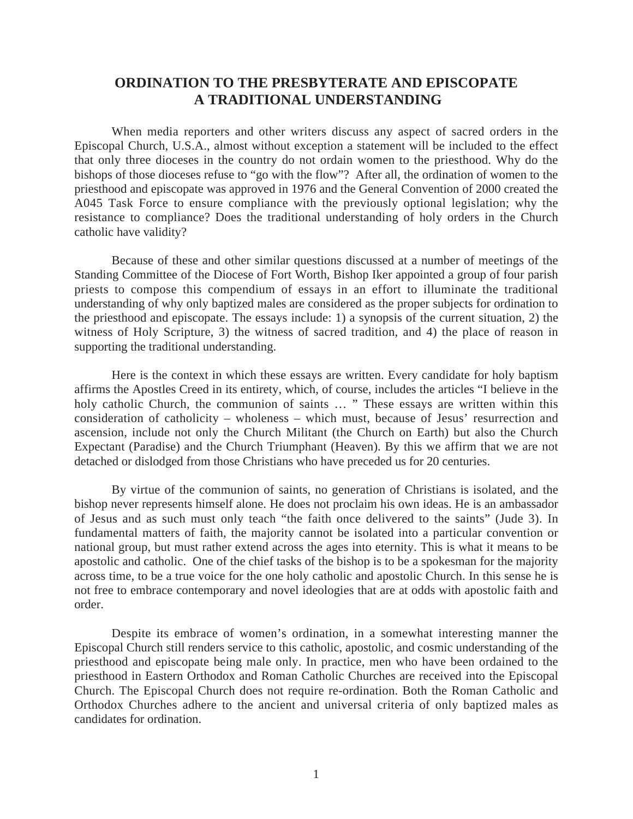## **ORDINATION TO THE PRESBYTERATE AND EPISCOPATE A TRADITIONAL UNDERSTANDING**

When media reporters and other writers discuss any aspect of sacred orders in the Episcopal Church, U.S.A., almost without exception a statement will be included to the effect that only three dioceses in the country do not ordain women to the priesthood. Why do the bishops of those dioceses refuse to "go with the flow"? After all, the ordination of women to the priesthood and episcopate was approved in 1976 and the General Convention of 2000 created the A045 Task Force to ensure compliance with the previously optional legislation; why the resistance to compliance? Does the traditional understanding of holy orders in the Church catholic have validity?

Because of these and other similar questions discussed at a number of meetings of the Standing Committee of the Diocese of Fort Worth, Bishop Iker appointed a group of four parish priests to compose this compendium of essays in an effort to illuminate the traditional understanding of why only baptized males are considered as the proper subjects for ordination to the priesthood and episcopate. The essays include: 1) a synopsis of the current situation, 2) the witness of Holy Scripture, 3) the witness of sacred tradition, and 4) the place of reason in supporting the traditional understanding.

Here is the context in which these essays are written. Every candidate for holy baptism affirms the Apostles Creed in its entirety, which, of course, includes the articles "I believe in the holy catholic Church, the communion of saints ... " These essays are written within this consideration of catholicity – wholeness – which must, because of Jesus' resurrection and ascension, include not only the Church Militant (the Church on Earth) but also the Church Expectant (Paradise) and the Church Triumphant (Heaven). By this we affirm that we are not detached or dislodged from those Christians who have preceded us for 20 centuries.

By virtue of the communion of saints, no generation of Christians is isolated, and the bishop never represents himself alone. He does not proclaim his own ideas. He is an ambassador of Jesus and as such must only teach "the faith once delivered to the saints" (Jude 3). In fundamental matters of faith, the majority cannot be isolated into a particular convention or national group, but must rather extend across the ages into eternity. This is what it means to be apostolic and catholic. One of the chief tasks of the bishop is to be a spokesman for the majority across time, to be a true voice for the one holy catholic and apostolic Church. In this sense he is not free to embrace contemporary and novel ideologies that are at odds with apostolic faith and order.

Despite its embrace of women's ordination, in a somewhat interesting manner the Episcopal Church still renders service to this catholic, apostolic, and cosmic understanding of the priesthood and episcopate being male only. In practice, men who have been ordained to the priesthood in Eastern Orthodox and Roman Catholic Churches are received into the Episcopal Church. The Episcopal Church does not require re-ordination. Both the Roman Catholic and Orthodox Churches adhere to the ancient and universal criteria of only baptized males as candidates for ordination.